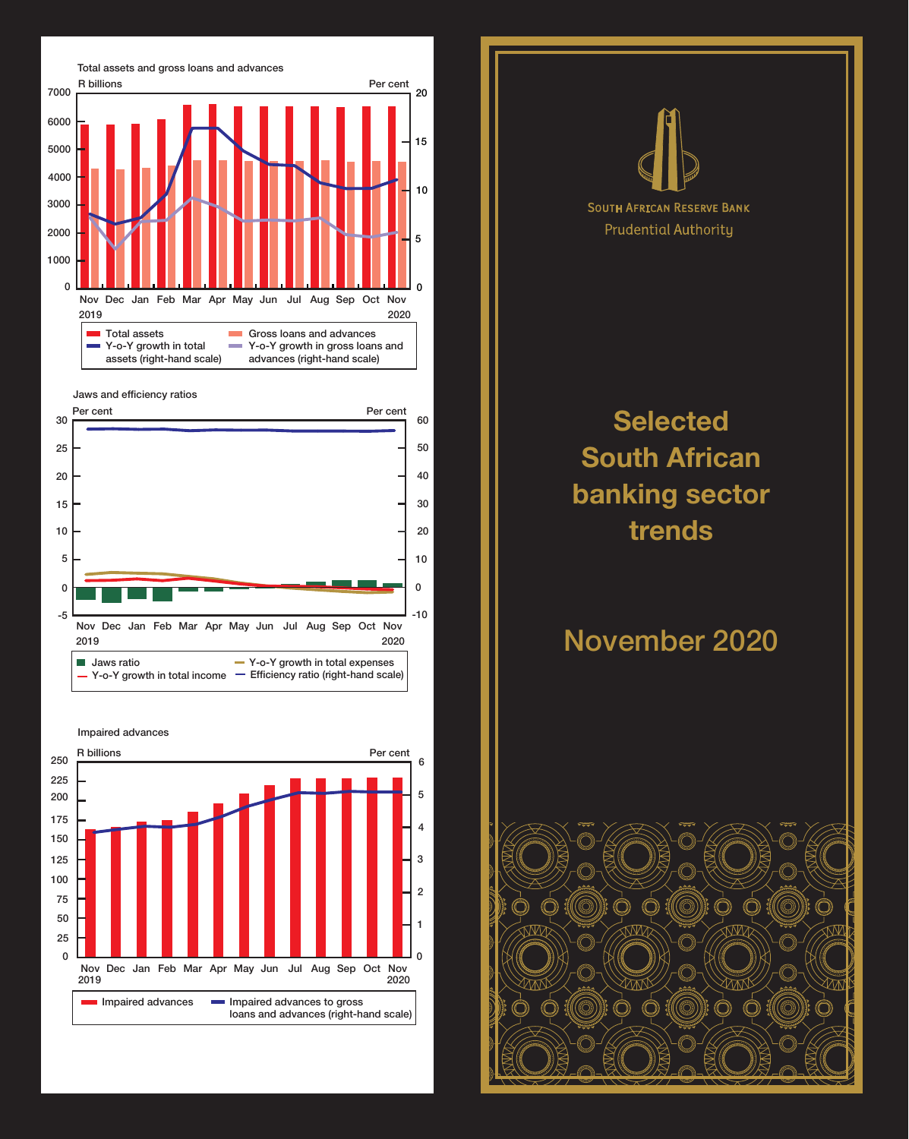